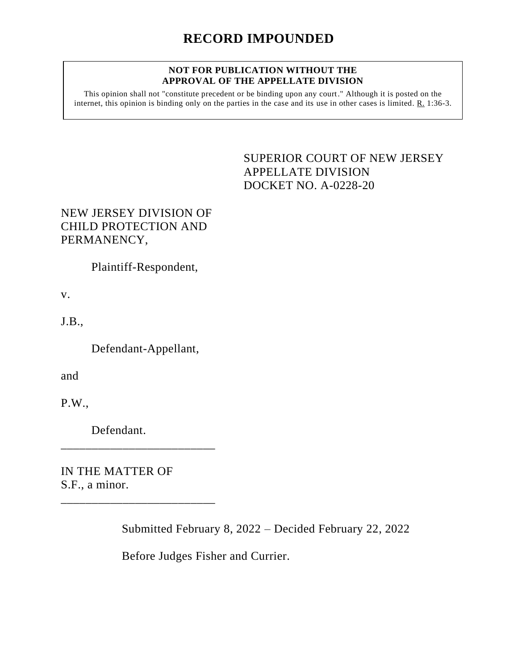## **NOT FOR PUBLICATION WITHOUT THE APPROVAL OF THE APPELLATE DIVISION**

This opinion shall not "constitute precedent or be binding upon any court." Although it is posted on the internet, this opinion is binding only on the parties in the case and its use in other cases is limited. R. 1:36-3.

> <span id="page-0-0"></span>SUPERIOR COURT OF NEW JERSEY APPELLATE DIVISION DOCKET NO. A-0228-20

## NEW JERSEY DIVISION OF CHILD PROTECTION AND PERMANENCY,

Plaintiff-Respondent,

v.

J.B.,

Defendant-Appellant,

and

P.W.,

Defendant.

\_\_\_\_\_\_\_\_\_\_\_\_\_\_\_\_\_\_\_\_\_\_\_\_\_

\_\_\_\_\_\_\_\_\_\_\_\_\_\_\_\_\_\_\_\_\_\_\_\_\_

IN THE MATTER OF S.F., a minor.

Submitted February 8, 2022 – Decided February 22, 2022

Before Judges Fisher and Currier.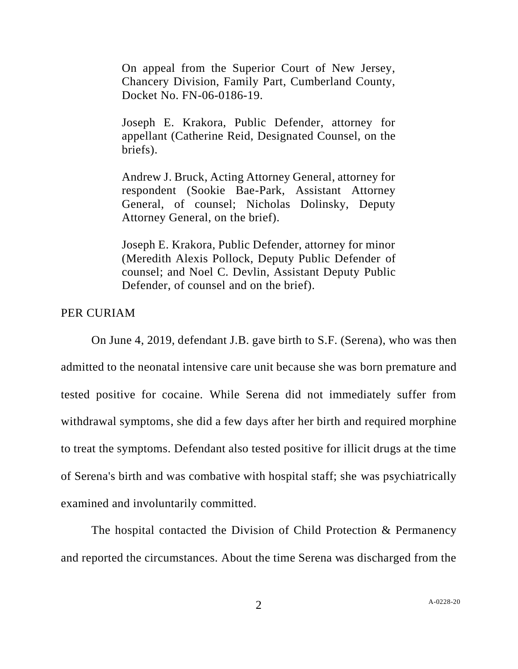On appeal from the Superior Court of New Jersey, Chancery Division, Family Part, Cumberland County, Docket No. FN-06-0186-19.

Joseph E. Krakora, Public Defender, attorney for appellant (Catherine Reid, Designated Counsel, on the briefs).

Andrew J. Bruck, Acting Attorney General, attorney for respondent (Sookie Bae-Park, Assistant Attorney General, of counsel; Nicholas Dolinsky, Deputy Attorney General, on the brief).

Joseph E. Krakora, Public Defender, attorney for minor (Meredith Alexis Pollock, Deputy Public Defender of counsel; and Noel C. Devlin, Assistant Deputy Public Defender, of counsel and on the brief).

## PER CURIAM

On June 4, 2019, defendant J.B. gave birth to S.F. (Serena), who was then admitted to the neonatal intensive care unit because she was born premature and tested positive for cocaine. While Serena did not immediately suffer from withdrawal symptoms, she did a few days after her birth and required morphine to treat the symptoms. Defendant also tested positive for illicit drugs at the time of Serena's birth and was combative with hospital staff; she was psychiatrically examined and involuntarily committed.

The hospital contacted the Division of Child Protection & Permanency and reported the circumstances. About the time Serena was discharged from the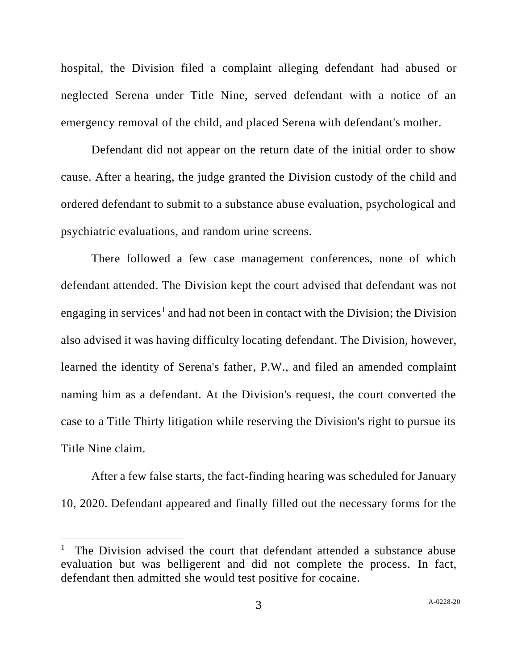hospital, the Division filed a complaint alleging defendant had abused or neglected Serena under Title Nine, served defendant with a notice of an emergency removal of the child, and placed Serena with defendant's mother.

Defendant did not appear on the return date of the initial order to show cause. After a hearing, the judge granted the Division custody of the child and ordered defendant to submit to a substance abuse evaluation, psychological and psychiatric evaluations, and random urine screens.

There followed a few case management conferences, none of which defendant attended. The Division kept the court advised that defendant was not engaging in services<sup>1</sup> and had not been in contact with the Division; the Division also advised it was having difficulty locating defendant. The Division, however, learned the identity of Serena's father, P.W., and filed an amended complaint naming him as a defendant. At the Division's request, the court converted the case to a Title Thirty litigation while reserving the Division's right to pursue its Title Nine claim.

After a few false starts, the fact-finding hearing was scheduled for January 10, 2020. Defendant appeared and finally filled out the necessary forms for the

<sup>&</sup>lt;sup>1</sup> The Division advised the court that defendant attended a substance abuse evaluation but was belligerent and did not complete the process. In fact, defendant then admitted she would test positive for cocaine.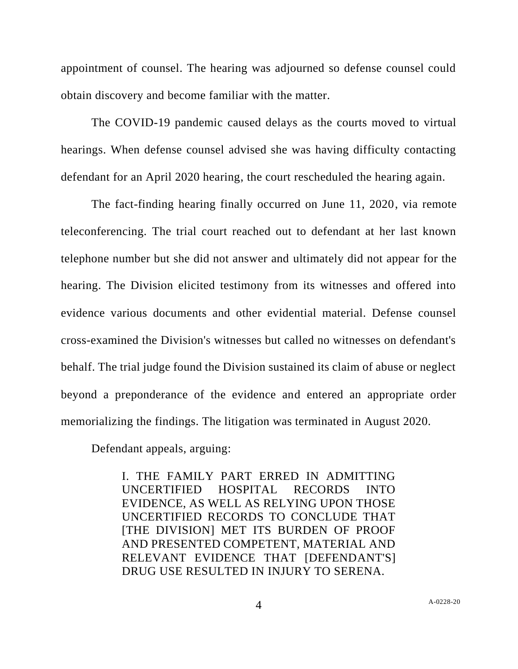appointment of counsel. The hearing was adjourned so defense counsel could obtain discovery and become familiar with the matter.

The COVID-19 pandemic caused delays as the courts moved to virtual hearings. When defense counsel advised she was having difficulty contacting defendant for an April 2020 hearing, the court rescheduled the hearing again.

The fact-finding hearing finally occurred on June 11, 2020, via remote teleconferencing. The trial court reached out to defendant at her last known telephone number but she did not answer and ultimately did not appear for the hearing. The Division elicited testimony from its witnesses and offered into evidence various documents and other evidential material. Defense counsel cross-examined the Division's witnesses but called no witnesses on defendant's behalf. The trial judge found the Division sustained its claim of abuse or neglect beyond a preponderance of the evidence and entered an appropriate order memorializing the findings. The litigation was terminated in August 2020.

Defendant appeals, arguing:

I. THE FAMILY PART ERRED IN ADMITTING UNCERTIFIED HOSPITAL RECORDS INTO EVIDENCE, AS WELL AS RELYING UPON THOSE UNCERTIFIED RECORDS TO CONCLUDE THAT [THE DIVISION] MET ITS BURDEN OF PROOF AND PRESENTED COMPETENT, MATERIAL AND RELEVANT EVIDENCE THAT [DEFENDANT'S] DRUG USE RESULTED IN INJURY TO SERENA.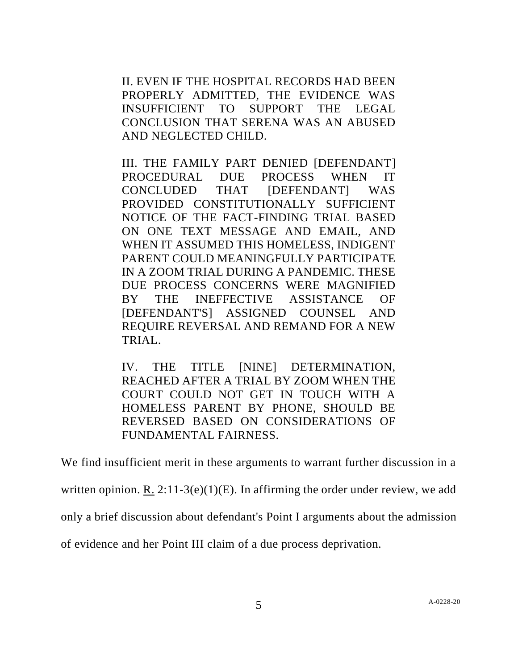II. EVEN IF THE HOSPITAL RECORDS HAD BEEN PROPERLY ADMITTED, THE EVIDENCE WAS INSUFFICIENT TO SUPPORT THE LEGAL CONCLUSION THAT SERENA WAS AN ABUSED AND NEGLECTED CHILD.

III. THE FAMILY PART DENIED [DEFENDANT] PROCEDURAL DUE PROCESS WHEN IT CONCLUDED THAT [DEFENDANT] WAS PROVIDED CONSTITUTIONALLY SUFFICIENT NOTICE OF THE FACT-FINDING TRIAL BASED ON ONE TEXT MESSAGE AND EMAIL, AND WHEN IT ASSUMED THIS HOMELESS, INDIGENT PARENT COULD MEANINGFULLY PARTICIPATE IN A ZOOM TRIAL DURING A PANDEMIC. THESE DUE PROCESS CONCERNS WERE MAGNIFIED BY THE INEFFECTIVE ASSISTANCE OF [DEFENDANT'S] ASSIGNED COUNSEL AND REQUIRE REVERSAL AND REMAND FOR A NEW TRIAL.

IV. THE TITLE [NINE] DETERMINATION, REACHED AFTER A TRIAL BY ZOOM WHEN THE COURT COULD NOT GET IN TOUCH WITH A HOMELESS PARENT BY PHONE, SHOULD BE REVERSED BASED ON CONSIDERATIONS OF FUNDAMENTAL FAIRNESS.

We find insufficient merit in these arguments to warrant further discussion in a

written opinion. R.  $2:11-3(e)(1)(E)$ . In affirming the order under review, we add

only a brief discussion about defendant's Point I arguments about the admission

of evidence and her Point III claim of a due process deprivation.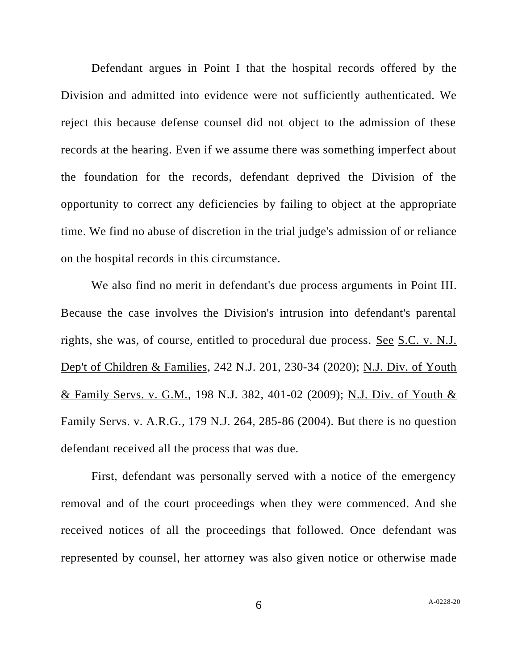Defendant argues in Point I that the hospital records offered by the Division and admitted into evidence were not sufficiently authenticated. We reject this because defense counsel did not object to the admission of these records at the hearing. Even if we assume there was something imperfect about the foundation for the records, defendant deprived the Division of the opportunity to correct any deficiencies by failing to object at the appropriate time. We find no abuse of discretion in the trial judge's admission of or reliance on the hospital records in this circumstance.

We also find no merit in defendant's due process arguments in Point III. Because the case involves the Division's intrusion into defendant's parental rights, she was, of course, entitled to procedural due process. See S.C. v. N.J. Dep't of Children & Families, 242 N.J. 201, 230-34 (2020); N.J. Div. of Youth & Family Servs. v. G.M., 198 N.J. 382, 401-02 (2009); N.J. Div. of Youth & Family Servs. v. A.R.G., 179 N.J. 264, 285-86 (2004). But there is no question defendant received all the process that was due.

First, defendant was personally served with a notice of the emergency removal and of the court proceedings when they were commenced. And she received notices of all the proceedings that followed. Once defendant was represented by counsel, her attorney was also given notice or otherwise made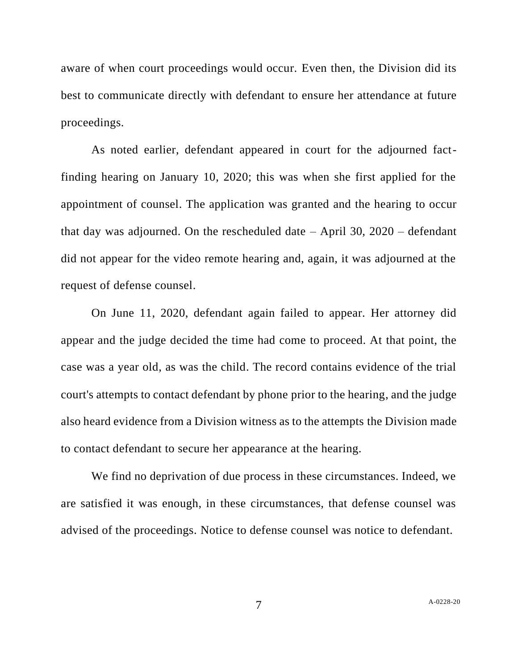aware of when court proceedings would occur. Even then, the Division did its best to communicate directly with defendant to ensure her attendance at future proceedings.

As noted earlier, defendant appeared in court for the adjourned factfinding hearing on January 10, 2020; this was when she first applied for the appointment of counsel. The application was granted and the hearing to occur that day was adjourned. On the rescheduled date  $-$  April 30, 2020  $-$  defendant did not appear for the video remote hearing and, again, it was adjourned at the request of defense counsel.

On June 11, 2020, defendant again failed to appear. Her attorney did appear and the judge decided the time had come to proceed. At that point, the case was a year old, as was the child. The record contains evidence of the trial court's attempts to contact defendant by phone prior to the hearing, and the judge also heard evidence from a Division witness as to the attempts the Division made to contact defendant to secure her appearance at the hearing.

We find no deprivation of due process in these circumstances. Indeed, we are satisfied it was enough, in these circumstances, that defense counsel was advised of the proceedings. Notice to defense counsel was notice to defendant.